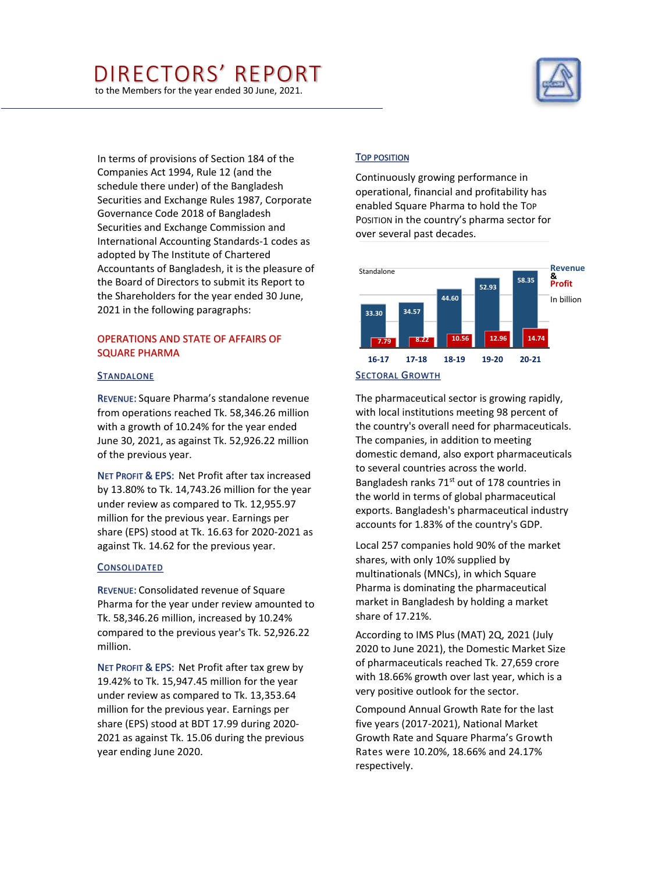# DIRECTORS' REPORT

to the Members for the year ended 30 June, 2021.



In terms of provisions of Section 184 of the Companies Act 1994, Rule 12 (and the schedule there under) of the Bangladesh Securities and Exchange Rules 1987, Corporate Governance Code 2018 of Bangladesh Securities and Exchange Commission and International Accounting Standards-1 codes as adopted by The Institute of Chartered Accountants of Bangladesh, it is the pleasure of the Board of Directors to submit its Report to the Shareholders for the year ended 30 June, 2021 in the following paragraphs:

# OPERATIONS AND STATE OF AFFAIRS OF SQUARE PHARMA

#### STANDALONE

REVENUE: Square Pharma's standalone revenue from operations reached Tk. 58,346.26 million with a growth of 10.24% for the year ended June 30, 2021, as against Tk. 52,926.22 million of the previous year.

NET PROFIT & EPS: Net Profit after tax increased by 13.80% to Tk. 14,743.26 million for the year under review as compared to Tk. 12,955.97 million for the previous year. Earnings per share (EPS) stood at Tk. 16.63 for 2020-2021 as against Tk. 14.62 for the previous year.

#### **CONSOLIDATED**

REVENUE: Consolidated revenue of Square Pharma for the year under review amounted to Tk. 58,346.26 million, increased by 10.24% compared to the previous year's Tk. 52,926.22 million.

NET PROFIT & EPS: Net Profit after tax grew by 19.42% to Tk. 15,947.45 million for the year under review as compared to Tk. 13,353.64 million for the previous year. Earnings per share (EPS) stood at BDT 17.99 during 2020- 2021 as against Tk. 15.06 during the previous year ending June 2020.

#### TOP POSITION

Continuously growing performance in operational, financial and profitability has enabled Square Pharma to hold the TOP POSITION in the country's pharma sector for over several past decades.



The pharmaceutical sector is growing rapidly, with local institutions meeting 98 percent of the country's overall need for pharmaceuticals. The companies, in addition to meeting domestic demand, also export pharmaceuticals to several countries across the world. Bangladesh ranks 71<sup>st</sup> out of 178 countries in the world in terms of global pharmaceutical exports. Bangladesh's pharmaceutical industry accounts for 1.83% of the country's GDP.

Local 257 companies hold 90% of the market shares, with only 10% supplied by multinationals (MNCs), in which Square Pharma is dominating the pharmaceutical market in Bangladesh by holding a market share of 17.21%.

According to IMS Plus (MAT) 2Q, 2021 (July 2020 to June 2021), the Domestic Market Size of pharmaceuticals reached Tk. 27,659 crore with 18.66% growth over last year, which is a very positive outlook for the sector.

Compound Annual Growth Rate for the last five years (2017-2021), National Market Growth Rate and Square Pharma's Growth Rates were 10.20%, 18.66% and 24.17% respectively.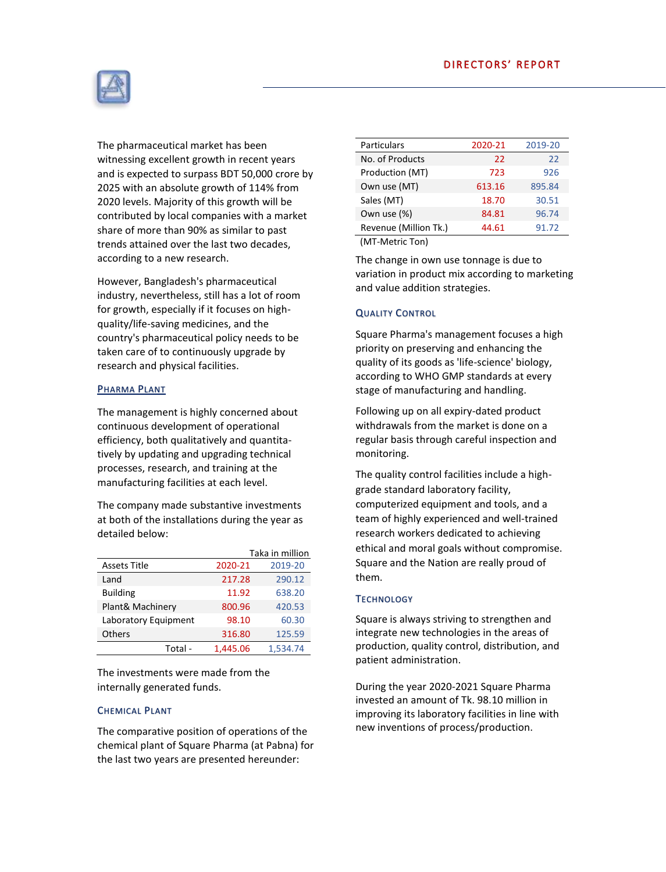

The pharmaceutical market has been witnessing excellent growth in recent years and is expected to surpass BDT 50,000 crore by 2025 with an absolute growth of 114% from 2020 levels. Majority of this growth will be contributed by local companies with a market share of more than 90% as similar to past trends attained over the last two decades, according to a new research.

However, Bangladesh's pharmaceutical industry, nevertheless, still has a lot of room for growth, especially if it focuses on highquality/life-saving medicines, and the country's pharmaceutical policy needs to be taken care of to continuously upgrade by research and physical facilities.

## PHARMA PLANT

The management is highly concerned about continuous development of operational efficiency, both qualitatively and quantitatively by updating and upgrading technical processes, research, and training at the manufacturing facilities at each level.

The company made substantive investments at both of the installations during the year as detailed below:

|                      | Taka in million |          |  |
|----------------------|-----------------|----------|--|
| <b>Assets Title</b>  | 2020-21         | 2019-20  |  |
| Land                 | 217.28          | 290.12   |  |
| <b>Building</b>      | 11.92           | 638.20   |  |
| Plant& Machinery     | 800.96          | 420.53   |  |
| Laboratory Equipment | 98.10           | 60.30    |  |
| <b>Others</b>        | 316.80          | 125.59   |  |
| Total -              | 1.445.06        | 1.534.74 |  |

The investments were made from the internally generated funds.

## CHEMICAL PLANT

The comparative position of operations of the chemical plant of Square Pharma (at Pabna) for the last two years are presented hereunder:

| <b>Particulars</b>    | 2020-21 | 2019-20 |
|-----------------------|---------|---------|
| No. of Products       | 22      | 22      |
| Production (MT)       | 723     | 926     |
| Own use (MT)          | 613.16  | 895.84  |
| Sales (MT)            | 18.70   | 30.51   |
| Own use (%)           | 84.81   | 96.74   |
| Revenue (Million Tk.) | 44.61   | 91.72   |

(MT-Metric Ton)

The change in own use tonnage is due to variation in product mix according to marketing and value addition strategies.

## QUALITY CONTROL

Square Pharma's management focuses a high priority on preserving and enhancing the quality of its goods as 'life-science' biology, according to WHO GMP standards at every stage of manufacturing and handling.

Following up on all expiry-dated product withdrawals from the market is done on a regular basis through careful inspection and monitoring.

The quality control facilities include a highgrade standard laboratory facility, computerized equipment and tools, and a team of highly experienced and well-trained research workers dedicated to achieving ethical and moral goals without compromise. Square and the Nation are really proud of them.

## **TECHNOLOGY**

Square is always striving to strengthen and integrate new technologies in the areas of production, quality control, distribution, and patient administration.

During the year 2020-2021 Square Pharma invested an amount of Tk. 98.10 million in improving its laboratory facilities in line with new inventions of process/production.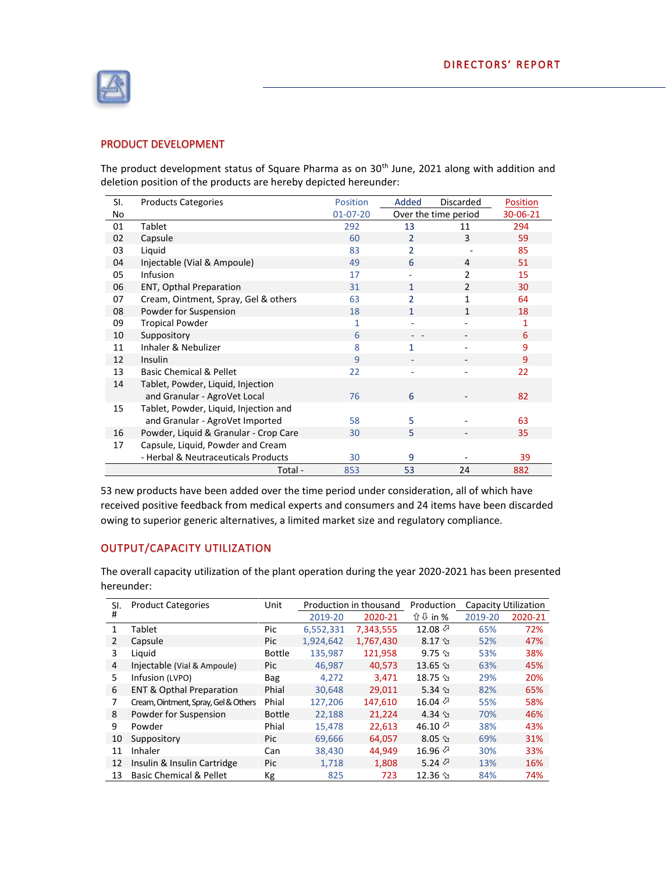

# PRODUCT DEVELOPMENT

The product development status of Square Pharma as on 30<sup>th</sup> June, 2021 along with addition and deletion position of the products are hereby depicted hereunder:

| SI. | <b>Products Categories</b>            | Position       | Added                    | Discarded                | Position |
|-----|---------------------------------------|----------------|--------------------------|--------------------------|----------|
| No  |                                       | $01 - 07 - 20$ | Over the time period     |                          | 30-06-21 |
| 01  | Tablet                                | 292            | 13                       | 11                       | 294      |
| 02  | Capsule                               | 60             | $\mathcal{P}$            | 3                        | 59       |
| 03  | Liquid                                | 83             | $\mathfrak{p}$           |                          | 85       |
| 04  | Injectable (Vial & Ampoule)           | 49             | 6                        | 4                        | 51       |
| 05  | Infusion                              | 17             |                          | 2                        | 15       |
| 06  | <b>ENT, Opthal Preparation</b>        | 31             | $\mathbf{1}$             | $\mathfrak{p}$           | 30       |
| 07  | Cream, Ointment, Spray, Gel & others  | 63             | $\overline{\phantom{a}}$ | 1                        | 64       |
| 08  | Powder for Suspension                 | 18             | 1                        | 1                        | 18       |
| 09  | <b>Tropical Powder</b>                | 1              |                          | ۰                        | 1        |
| 10  | Suppository                           | 6              |                          |                          | 6        |
| 11  | Inhaler & Nebulizer                   | 8              | 1                        |                          | 9        |
| 12  | Insulin                               | 9              | ٠                        | $\overline{\phantom{a}}$ | 9        |
| 13  | <b>Basic Chemical &amp; Pellet</b>    | 22             | ٠                        |                          | 22       |
| 14  | Tablet, Powder, Liquid, Injection     |                |                          |                          |          |
|     | and Granular - AgroVet Local          | 76             | 6                        |                          | 82       |
| 15  | Tablet, Powder, Liquid, Injection and |                |                          |                          |          |
|     | and Granular - AgroVet Imported       | 58             | 5                        |                          | 63       |
| 16  | Powder, Liquid & Granular - Crop Care | 30             | 5                        |                          | 35       |
| 17  | Capsule, Liquid, Powder and Cream     |                |                          |                          |          |
|     | - Herbal & Neutraceuticals Products   | 30             | 9                        |                          | 39       |
|     | Total -                               | 853            | 53                       | 24                       | 882      |

53 new products have been added over the time period under consideration, all of which have received positive feedback from medical experts and consumers and 24 items have been discarded owing to superior generic alternatives, a limited market size and regulatory compliance.

# OUTPUT/CAPACITY UTILIZATION

The overall capacity utilization of the plant operation during the year 2020-2021 has been presented hereunder:

| SI. | <b>Product Categories</b>            | Unit          | Production in thousand |           | Production      |         | <b>Capacity Utilization</b> |
|-----|--------------------------------------|---------------|------------------------|-----------|-----------------|---------|-----------------------------|
| #   |                                      |               | 2019-20                | 2020-21   | <b>↑ ↓ in %</b> | 2019-20 | 2020-21                     |
| 1   | Tablet                               | Pic           | 6,552,331              | 7,343,555 | 12.08 $\oslash$ | 65%     | 72%                         |
| 2   | Capsule                              | Pic           | 1,924,642              | 1,767,430 | $8.17$ $\Im$    | 52%     | 47%                         |
| 3   | Liquid                               | <b>Bottle</b> | 135.987                | 121.958   | $9.75 \text{ }$ | 53%     | 38%                         |
| 4   | Injectable (Vial & Ampoule)          | Pic           | 46,987                 | 40,573    | $13.65$ $\Im$   | 63%     | 45%                         |
| 5   | Infusion (LVPO)                      | <b>Bag</b>    | 4,272                  | 3,471     | $18.75$ $\Im$   | 29%     | 20%                         |
| 6   | <b>ENT &amp; Opthal Preparation</b>  | Phial         | 30,648                 | 29,011    | 5.34 $\Im$      | 82%     | 65%                         |
| 7   | Cream, Ointment, Spray, Gel & Others | Phial         | 127.206                | 147.610   | 16.04 $\oslash$ | 55%     | 58%                         |
| 8   | Powder for Suspension                | <b>Bottle</b> | 22,188                 | 21,224    | $4.34 \text{ }$ | 70%     | 46%                         |
| q   | Powder                               | Phial         | 15,478                 | 22,613    | 46.10 $\oslash$ | 38%     | 43%                         |
| 10  | Suppository                          | Pic           | 69,666                 | 64,057    | $8.05$ $\Im$    | 69%     | 31%                         |
| 11  | Inhaler                              | Can           | 38.430                 | 44.949    | 16.96 $\oslash$ | 30%     | 33%                         |
| 12  | Insulin & Insulin Cartridge          | Pic           | 1,718                  | 1,808     | 5.24 $\oslash$  | 13%     | 16%                         |
| 13  | <b>Basic Chemical &amp; Pellet</b>   | Кg            | 825                    | 723       | $12.36$ $\Im$   | 84%     | 74%                         |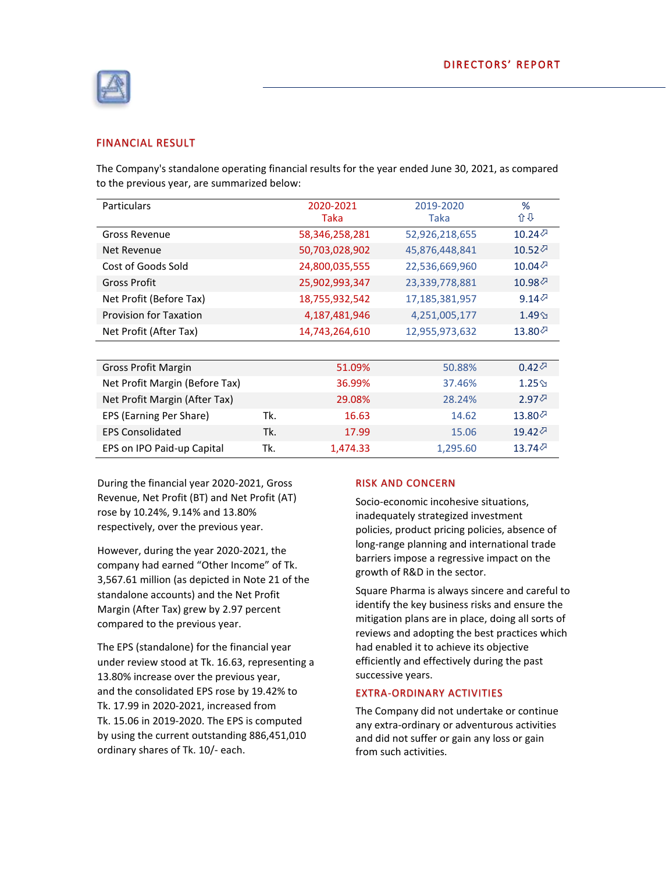

## FINANCIAL RESULT

The Company's standalone operating financial results for the year ended June 30, 2021, as compared to the previous year, are summarized below:

| Particulars                    |     | 2020-2021<br>Taka | 2019-2020<br><b>Taka</b> | %<br>心心                           |
|--------------------------------|-----|-------------------|--------------------------|-----------------------------------|
| <b>Gross Revenue</b>           |     | 58,346,258,281    | 52,926,218,655           | 10.24 $\oslash$                   |
| Net Revenue                    |     | 50,703,028,902    | 45,876,448,841           | 10.52 $\oslash$                   |
| Cost of Goods Sold             |     | 24,800,035,555    | 22,536,669,960           | 10.04 $\oslash$                   |
| <b>Gross Profit</b>            |     | 25,902,993,347    | 23,339,778,881           | $10.98\%$                         |
| Net Profit (Before Tax)        |     | 18,755,932,542    | 17,185,381,957           | 9.14 $\oslash$                    |
| <b>Provision for Taxation</b>  |     | 4,187,481,946     | 4,251,005,177            | $1.49\%$                          |
| Net Profit (After Tax)         |     | 14,743,264,610    | 12,955,973,632           | 13.80 $\oslash$                   |
|                                |     |                   |                          |                                   |
| Gross Profit Margin            |     | 51.09%            | 50.88%                   | $0.42\%$                          |
| Net Profit Margin (Before Tax) |     | 36.99%            | 37.46%                   | $1.25\%$                          |
| Net Profit Margin (After Tax)  |     | 29.08%            | 28.24%                   | $2.97$ <sup><math>্</math></sup>  |
| EPS (Earning Per Share)        | Tk. | 16.63             | 14.62                    | $13.80$ <sup><math>্</math></sup> |
| <b>EPS Consolidated</b>        | Tk. | 17.99             | 15.06                    | 19.42 $\oslash$                   |
| EPS on IPO Paid-up Capital     | Tk. | 1,474.33          | 1,295.60                 | $13.74$ $\oslash$                 |

During the financial year 2020-2021, Gross Revenue, Net Profit (BT) and Net Profit (AT) rose by 10.24%, 9.14% and 13.80% respectively, over the previous year.

However, during the year 2020-2021, the company had earned "Other Income" of Tk. 3,567.61 million (as depicted in Note 21 of the standalone accounts) and the Net Profit Margin (After Tax) grew by 2.97 percent compared to the previous year.

The EPS (standalone) for the financial year under review stood at Tk. 16.63, representing a 13.80% increase over the previous year, and the consolidated EPS rose by 19.42% to Tk. 17.99 in 2020-2021, increased from Tk. 15.06 in 2019-2020. The EPS is computed by using the current outstanding 886,451,010 ordinary shares of Tk. 10/- each.

#### RISK AND CONCERN

Socio-economic incohesive situations, inadequately strategized investment policies, product pricing policies, absence of long-range planning and international trade barriers impose a regressive impact on the growth of R&D in the sector.

Square Pharma is always sincere and careful to identify the key business risks and ensure the mitigation plans are in place, doing all sorts of reviews and adopting the best practices which had enabled it to achieve its objective efficiently and effectively during the past successive years.

#### EXTRA-ORDINARY ACTIVITIES

The Company did not undertake or continue any extra-ordinary or adventurous activities and did not suffer or gain any loss or gain from such activities.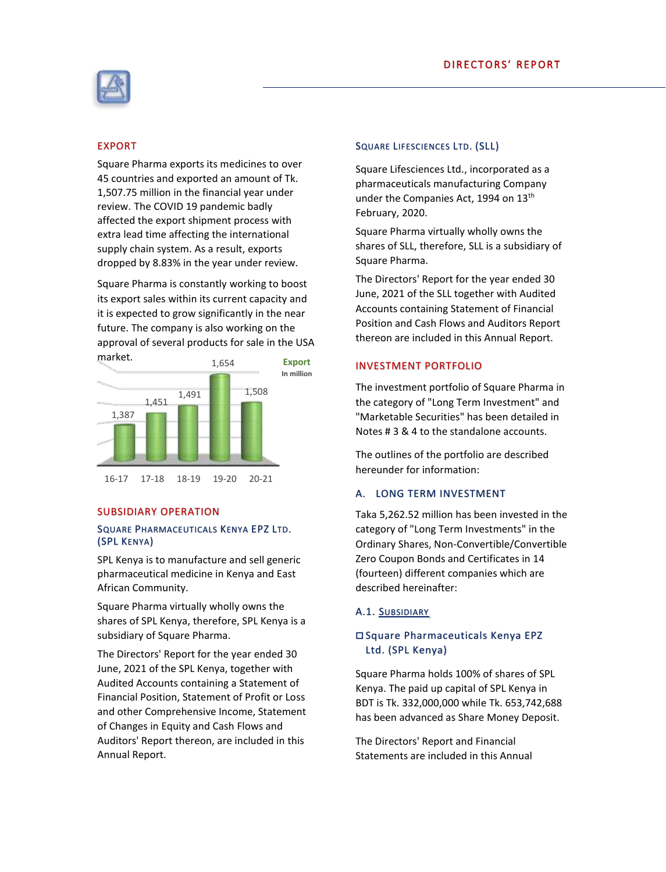

# EXPORT

Square Pharma exports its medicines to over 45 countries and exported an amount of Tk. 1,507.75 million in the financial year under review. The COVID 19 pandemic badly affected the export shipment process with extra lead time affecting the international supply chain system. As a result, exports dropped by 8.83% in the year under review.

Square Pharma is constantly working to boost its export sales within its current capacity and it is expected to grow significantly in the near future. The company is also working on the approval of several products for sale in the USA market. **Export**



#### SUBSIDIARY OPERATION

#### SQUARE PHARMACEUTICALS KENYA EPZ LTD. (SPL KENYA)

SPL Kenya is to manufacture and sell generic pharmaceutical medicine in Kenya and East African Community.

Square Pharma virtually wholly owns the shares of SPL Kenya, therefore, SPL Kenya is a subsidiary of Square Pharma.

The Directors' Report for the year ended 30 June, 2021 of the SPL Kenya, together with Audited Accounts containing a Statement of Financial Position, Statement of Profit or Loss and other Comprehensive Income, Statement of Changes in Equity and Cash Flows and Auditors' Report thereon, are included in this Annual Report.

#### SQUARE LIFESCIENCES LTD. (SLL)

Square Lifesciences Ltd., incorporated as a pharmaceuticals manufacturing Company under the Companies Act, 1994 on 13<sup>th</sup> February, 2020.

Square Pharma virtually wholly owns the shares of SLL, therefore, SLL is a subsidiary of Square Pharma.

The Directors' Report for the year ended 30 June, 2021 of the SLL together with Audited Accounts containing Statement of Financial Position and Cash Flows and Auditors Report thereon are included in this Annual Report.

## INVESTMENT PORTFOLIO

The investment portfolio of Square Pharma in the category of "Long Term Investment" and "Marketable Securities" has been detailed in Notes # 3 & 4 to the standalone accounts.

The outlines of the portfolio are described hereunder for information:

## A. LONG TERM INVESTMENT

Taka 5,262.52 million has been invested in the category of "Long Term Investments" in the Ordinary Shares, Non-Convertible/Convertible Zero Coupon Bonds and Certificates in 14 (fourteen) different companies which are described hereinafter:

## A.1. SUBSIDIARY

# Square Pharmaceuticals Kenya EPZ Ltd. (SPL Kenya)

Square Pharma holds 100% of shares of SPL Kenya. The paid up capital of SPL Kenya in BDT is Tk. 332,000,000 while Tk. 653,742,688 has been advanced as Share Money Deposit.

The Directors' Report and Financial Statements are included in this Annual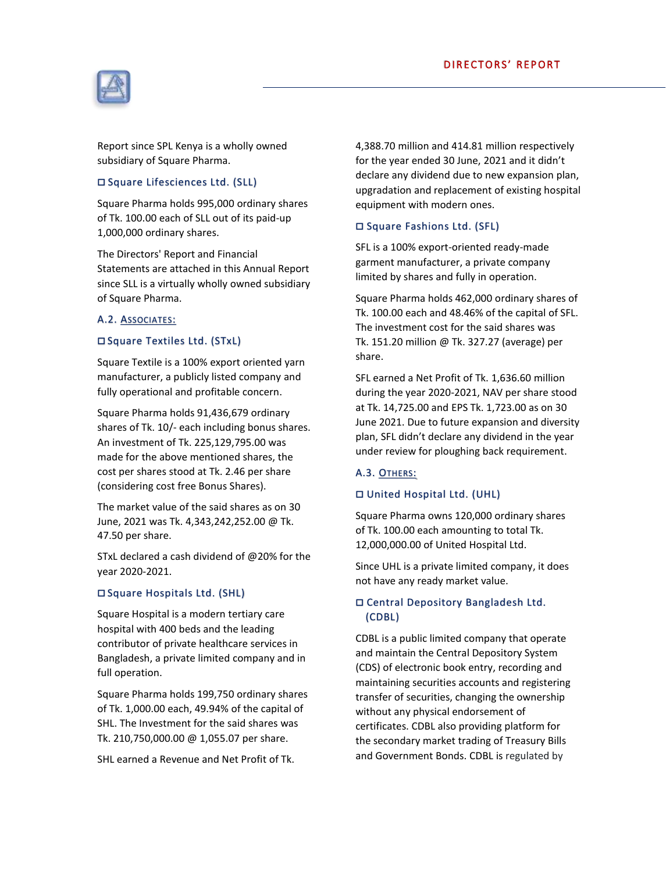

Report since SPL Kenya is a wholly owned subsidiary of Square Pharma.

## □ Square Lifesciences Ltd. (SLL)

Square Pharma holds 995,000 ordinary shares of Tk. 100.00 each of SLL out of its paid-up 1,000,000 ordinary shares.

The Directors' Report and Financial Statements are attached in this Annual Report since SLL is a virtually wholly owned subsidiary of Square Pharma.

## A.2. ASSOCIATES:

## □ Square Textiles Ltd. (STxL)

Square Textile is a 100% export oriented yarn manufacturer, a publicly listed company and fully operational and profitable concern.

Square Pharma holds 91,436,679 ordinary shares of Tk. 10/- each including bonus shares. An investment of Tk. 225,129,795.00 was made for the above mentioned shares, the cost per shares stood at Tk. 2.46 per share (considering cost free Bonus Shares).

The market value of the said shares as on 30 June, 2021 was Tk. 4,343,242,252.00 @ Tk. 47.50 per share.

STxL declared a cash dividend of @20% for the year 2020-2021.

## □ Square Hospitals Ltd. (SHL)

Square Hospital is a modern tertiary care hospital with 400 beds and the leading contributor of private healthcare services in Bangladesh, a private limited company and in full operation.

Square Pharma holds 199,750 ordinary shares of Tk. 1,000.00 each, 49.94% of the capital of SHL. The Investment for the said shares was Tk. 210,750,000.00 @ 1,055.07 per share.

SHL earned a Revenue and Net Profit of Tk.

4,388.70 million and 414.81 million respectively for the year ended 30 June, 2021 and it didn't declare any dividend due to new expansion plan, upgradation and replacement of existing hospital equipment with modern ones.

## □ Square Fashions Ltd. (SFL)

SFL is a 100% export-oriented ready-made garment manufacturer, a private company limited by shares and fully in operation.

Square Pharma holds 462,000 ordinary shares of Tk. 100.00 each and 48.46% of the capital of SFL. The investment cost for the said shares was Tk. 151.20 million @ Tk. 327.27 (average) per share.

SFL earned a Net Profit of Tk. 1,636.60 million during the year 2020-2021, NAV per share stood at Tk. 14,725.00 and EPS Tk. 1,723.00 as on 30 June 2021. Due to future expansion and diversity plan, SFL didn't declare any dividend in the year under review for ploughing back requirement.

## A.3. OTHERS:

## United Hospital Ltd. (UHL)

Square Pharma owns 120,000 ordinary shares of Tk. 100.00 each amounting to total Tk. 12,000,000.00 of United Hospital Ltd.

Since UHL is a private limited company, it does not have any ready market value.

# Central Depository Bangladesh Ltd. (CDBL)

CDBL is a public limited company that operate and maintain the Central Depository System (CDS) of electronic book entry, recording and maintaining securities accounts and registering transfer of securities, changing the ownership without any physical endorsement of certificates. CDBL also providing platform for the secondary market trading of Treasury Bills and Government Bonds. CDBL is regulated by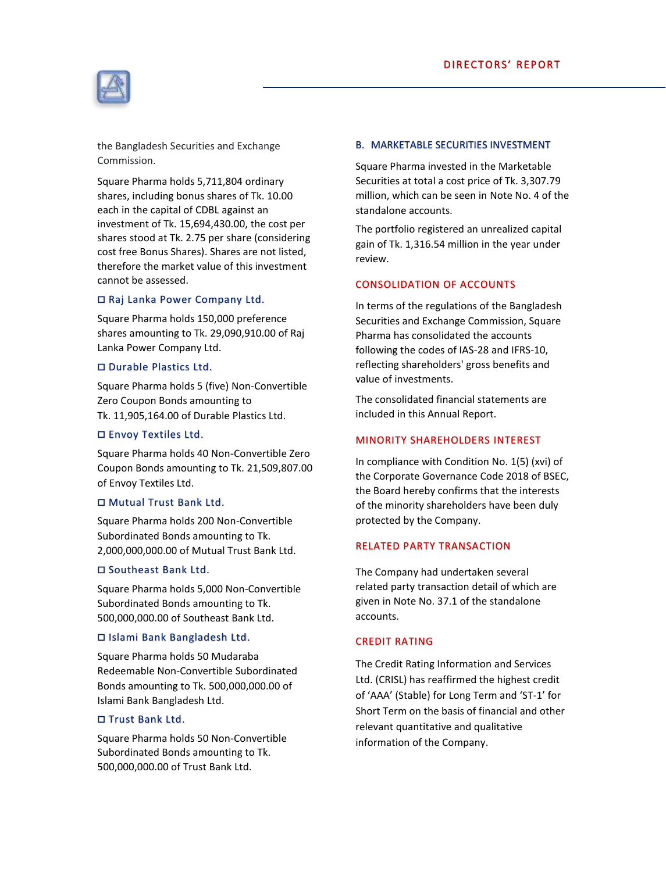

the Bangladesh Securities and Exchange Commission.

Square Pharma holds 5,711,804 ordinary shares, including bonus shares of Tk. 10.00 each in the capital of CDBL against an investment of Tk. 15,694,430.00, the cost per shares stood at Tk. 2.75 per share (considering cost free Bonus Shares). Shares are not listed, therefore the market value of this investment cannot be assessed.

## □ Raj Lanka Power Company Ltd.

Square Pharma holds 150,000 preference shares amounting to Tk. 29,090,910.00 of Raj Lanka Power Company Ltd.

## □ Durable Plastics Ltd.

Square Pharma holds 5 (five) Non-Convertible Zero Coupon Bonds amounting to Tk. 11,905,164.00 of Durable Plastics Ltd.

## Envoy Textiles Ltd.

Square Pharma holds 40 Non-Convertible Zero Coupon Bonds amounting to Tk. 21,509,807.00 of Envoy Textiles Ltd.

## Mutual Trust Bank Ltd.

Square Pharma holds 200 Non-Convertible Subordinated Bonds amounting to Tk. 2,000,000,000.00 of Mutual Trust Bank Ltd.

## □ Southeast Bank Ltd.

Square Pharma holds 5,000 Non-Convertible Subordinated Bonds amounting to Tk. 500,000,000.00 of Southeast Bank Ltd.

## Islami Bank Bangladesh Ltd.

Square Pharma holds 50 Mudaraba Redeemable Non-Convertible Subordinated Bonds amounting to Tk. 500,000,000.00 of Islami Bank Bangladesh Ltd.

## Trust Bank Ltd.

Square Pharma holds 50 Non-Convertible Subordinated Bonds amounting to Tk. 500,000,000.00 of Trust Bank Ltd.

#### B. MARKETABLE SECURITIES INVESTMENT

Square Pharma invested in the Marketable Securities at total a cost price of Tk. 3,307.79 million, which can be seen in Note No. 4 of the standalone accounts.

The portfolio registered an unrealized capital gain of Tk. 1,316.54 million in the year under review.

## CONSOLIDATION OF ACCOUNTS

In terms of the regulations of the Bangladesh Securities and Exchange Commission, Square Pharma has consolidated the accounts following the codes of IAS-28 and IFRS-10, reflecting shareholders' gross benefits and value of investments.

The consolidated financial statements are included in this Annual Report.

## MINORITY SHAREHOLDERS INTEREST

In compliance with Condition No. 1(5) (xvi) of the Corporate Governance Code 2018 of BSEC, the Board hereby confirms that the interests of the minority shareholders have been duly protected by the Company.

## RELATED PARTY TRANSACTION

The Company had undertaken several related party transaction detail of which are given in Note No. 37.1 of the standalone accounts.

## CREDIT RATING

The Credit Rating Information and Services Ltd. (CRISL) has reaffirmed the highest credit of 'AAA' (Stable) for Long Term and 'ST-1' for Short Term on the basis of financial and other relevant quantitative and qualitative information of the Company.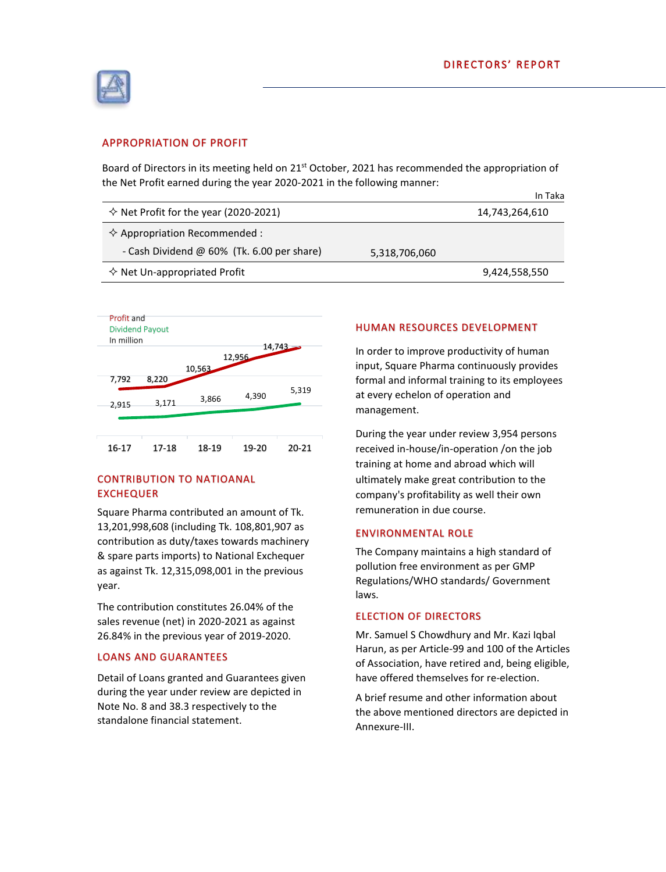

## APPROPRIATION OF PROFIT

Board of Directors in its meeting held on 21<sup>st</sup> October, 2021 has recommended the appropriation of the Net Profit earned during the year 2020-2021 in the following manner:

|                                                |               | In Taka        |
|------------------------------------------------|---------------|----------------|
| $\Diamond$ Net Profit for the year (2020-2021) |               | 14,743,264,610 |
| $\Diamond$ Appropriation Recommended :         |               |                |
| - Cash Dividend $@$ 60% (Tk. 6.00 per share)   | 5,318,706,060 |                |
| $\diamond$ Net Un-appropriated Profit          |               | 9,424,558,550  |



## CONTRIBUTION TO NATIOANAL EXCHEQUER

Square Pharma contributed an amount of Tk. 13,201,998,608 (including Tk. 108,801,907 as contribution as duty/taxes towards machinery & spare parts imports) to National Exchequer as against Tk. 12,315,098,001 in the previous year.

The contribution constitutes 26.04% of the sales revenue (net) in 2020-2021 as against 26.84% in the previous year of 2019-2020.

#### LOANS AND GUARANTEES

Detail of Loans granted and Guarantees given during the year under review are depicted in Note No. 8 and 38.3 respectively to the standalone financial statement.

## HUMAN RESOURCES DEVELOPMENT

In order to improve productivity of human input, Square Pharma continuously provides formal and informal training to its employees at every echelon of operation and management.

During the year under review 3,954 persons received in-house/in-operation /on the job training at home and abroad which will ultimately make great contribution to the company's profitability as well their own remuneration in due course.

#### ENVIRONMENTAL ROLE

The Company maintains a high standard of pollution free environment as per GMP Regulations/WHO standards/ Government laws.

## ELECTION OF DIRECTORS

Mr. Samuel S Chowdhury and Mr. Kazi Iqbal Harun, as per Article-99 and 100 of the Articles of Association, have retired and, being eligible, have offered themselves for re-election.

A brief resume and other information about the above mentioned directors are depicted in Annexure-III.